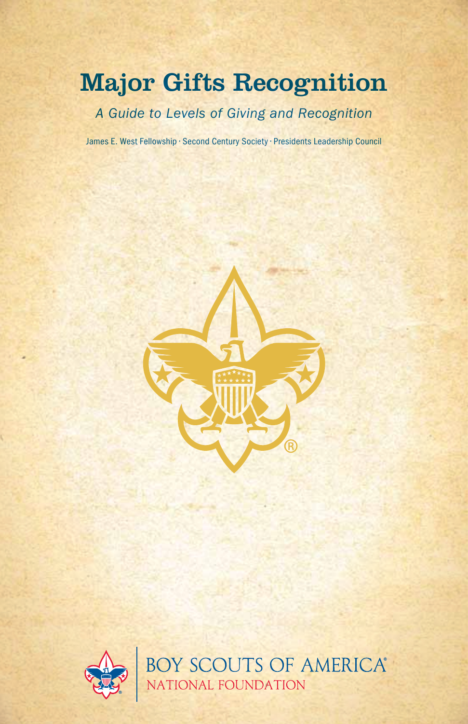# Major Gifts Recognition

*A Guide to Levels of Giving and Recognition*

James E. West Fellowship • Second Century Society • Presidents Leadership Council



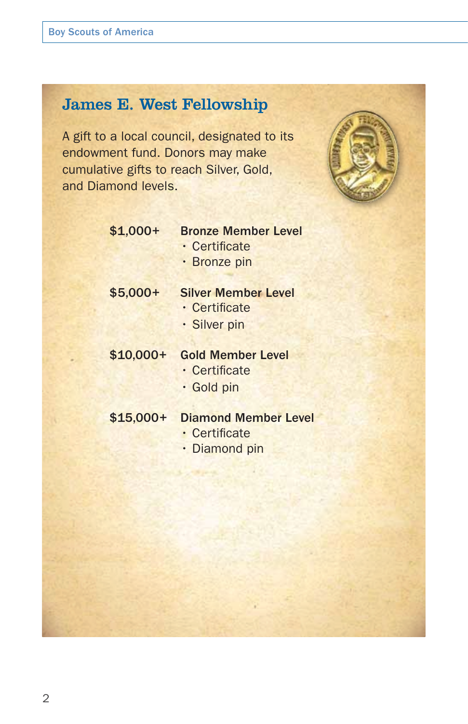# James E. West Fellowship

A gift to a local council, designated to its endowment fund. Donors may make cumulative gifts to reach Silver, Gold, and Diamond levels.



| $$1,000+$ | <b>Bronze Member Level</b> |
|-----------|----------------------------|
|           | · Certificate              |

• Bronze pin

\$5,000+ Silver Member Level

- Certificate
- Silver pin

# \$10,000+ Gold Member Level

- Certificate
- Gold pin

- \$15,000+ Diamond Member Level
	- Certificate
	- Diamond pin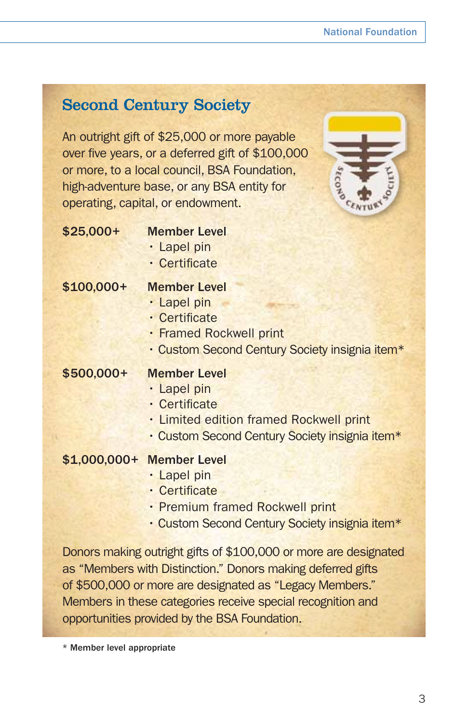# Second Century Society

An outright gift of \$25,000 or more payable over five years, or a deferred gift of \$100,000 or more, to a local council, BSA Foundation, high-adventure base, or any BSA entity for operating, capital, or endowment.



### \$25,000+ Member Level

- Lapel pin
- Certificate

### \$100,000+ Member Level

- Lapel pin
- Certificate
- Framed Rockwell print
- Custom Second Century Society insignia item\*

### \$500,000+ Member Level

- Lapel pin
- Certificate
- Limited edition framed Rockwell print
- Custom Second Century Society insignia item\*

## \$1,000,000+ Member Level

- Lapel pin
- Certificate
- Premium framed Rockwell print
- Custom Second Century Society insignia item\*

Donors making outright gifts of \$100,000 or more are designated as "Members with Distinction." Donors making deferred gifts of \$500,000 or more are designated as "Legacy Members." Members in these categories receive special recognition and opportunities provided by the BSA Foundation.

\* Member level appropriate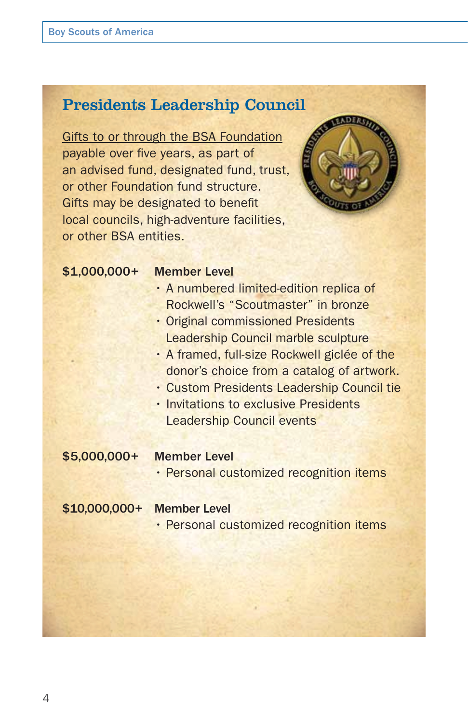# Presidents Leadership Council

Gifts to or through the BSA Foundation payable over five years, as part of an advised fund, designated fund, trust, or other Foundation fund structure. Gifts may be designated to benefit local councils, high-adventure facilities, or other BSA entities.



#### \$1,000,000+ Member Level

- A numbered limited-edition replica of Rockwell's "Scoutmaster" in bronze
- Original commissioned Presidents Leadership Council marble sculpture
- A framed, full-size Rockwell giclée of the donor's choice from a catalog of artwork.
- Custom Presidents Leadership Council tie
- Invitations to exclusive Presidents Leadership Council events

#### \$5,000,000+ Member Level

• Personal customized recognition items

### \$10,000,000+ Member Level

• Personal customized recognition items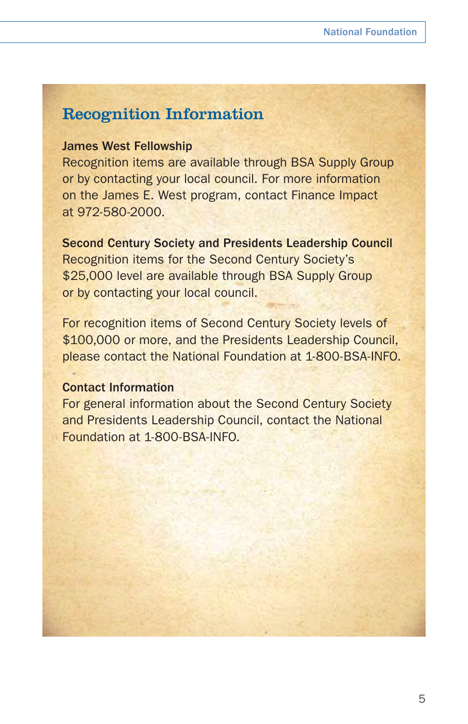# Recognition Information

### James West Fellowship

Recognition items are available through BSA Supply Group or by contacting your local council. For more information on the James E. West program, contact Finance Impact at 972-580-2000.

Second Century Society and Presidents Leadership Council Recognition items for the Second Century Society's \$25,000 level are available through BSA Supply Group or by contacting your local council.

For recognition items of Second Century Society levels of \$100,000 or more, and the Presidents Leadership Council. please contact the National Foundation at 1-800-BSA-INFO.

### Contact Information

For general information about the Second Century Society and Presidents Leadership Council, contact the National Foundation at 1-800-BSA-INFO.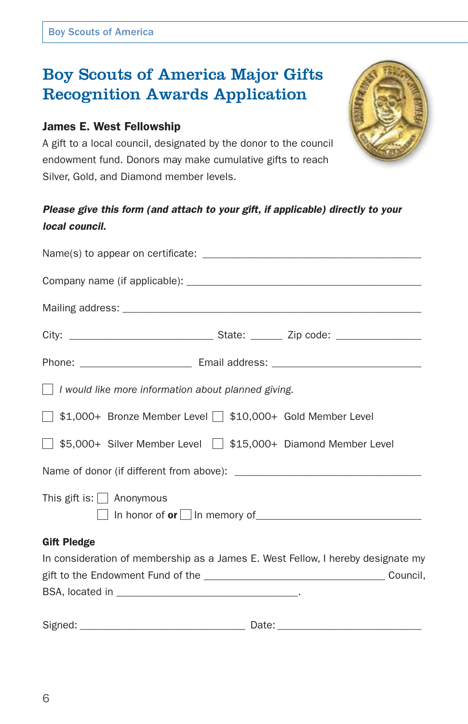# Boy Scouts of America Major Gifts Recognition Awards Application

# James E. West Fellowship

A gift to a local council, designated by the donor to the council endowment fund. Donors may make cumulative gifts to reach Silver, Gold, and Diamond member levels.



| $\Box$ I would like more information about planned giving.                      |
|---------------------------------------------------------------------------------|
| \$1,000+ Bronze Member Level \\$10,000+ Gold Member Level                       |
| S5,000+ Silver Member Level St15,000+ Diamond Member Level                      |
|                                                                                 |
| This gift is: $\Box$ Anonymous                                                  |
| <b>Gift Pledge</b>                                                              |
| In consideration of membership as a James E. West Fellow, I hereby designate my |
|                                                                                 |
|                                                                                 |
|                                                                                 |

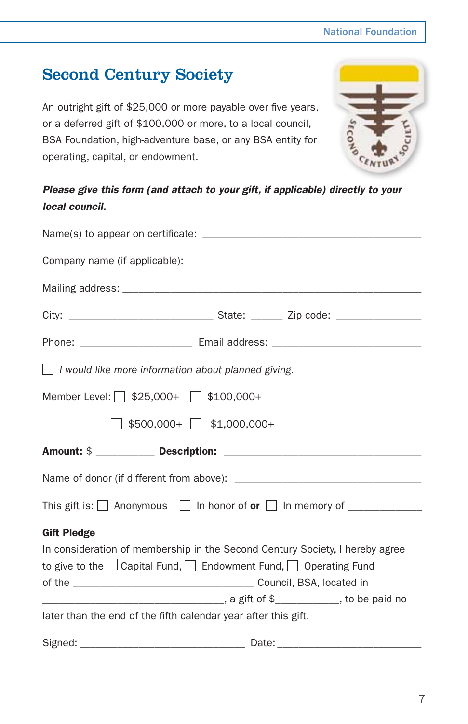# National Foundation

# Second Century Society

An outright gift of \$25,000 or more payable over five years, or a deferred gift of \$100,000 or more, to a local council, BSA Foundation, high-adventure base, or any BSA entity for operating, capital, or endowment.

*Please give this form (and attach to your gift, if applicable) directly to your local council.*

| $\Box$ I would like more information about planned giving.     |                                                                                  |
|----------------------------------------------------------------|----------------------------------------------------------------------------------|
| Member Level: \§\$25,000+ \\$100,000+                          |                                                                                  |
|                                                                | $\sqrt{\ }}$ \$500,000+ $\sqrt{\ }}$ \$1,000,000+                                |
|                                                                |                                                                                  |
|                                                                |                                                                                  |
|                                                                | This gift is: $\Box$ Anonymous $\Box$ In honor of or $\Box$ In memory of $\Box$  |
| <b>Gift Pledge</b>                                             |                                                                                  |
|                                                                | In consideration of membership in the Second Century Society, I hereby agree     |
|                                                                | to give to the $\Box$ Capital Fund, $\Box$ Endowment Fund, $\Box$ Operating Fund |
|                                                                |                                                                                  |
|                                                                |                                                                                  |
| later than the end of the fifth calendar year after this gift. |                                                                                  |
|                                                                |                                                                                  |